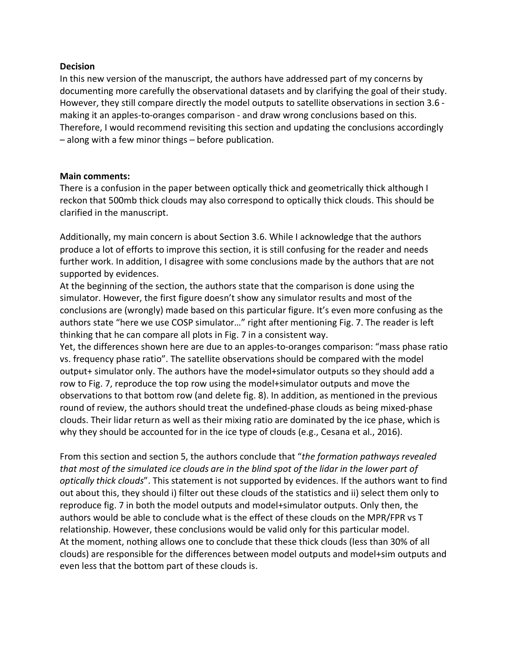## **Decision**

In this new version of the manuscript, the authors have addressed part of my concerns by documenting more carefully the observational datasets and by clarifying the goal of their study. However, they still compare directly the model outputs to satellite observations in section 3.6 making it an apples-to-oranges comparison - and draw wrong conclusions based on this. Therefore, I would recommend revisiting this section and updating the conclusions accordingly – along with a few minor things – before publication.

## **Main comments:**

There is a confusion in the paper between optically thick and geometrically thick although I reckon that 500mb thick clouds may also correspond to optically thick clouds. This should be clarified in the manuscript.

Additionally, my main concern is about Section 3.6. While I acknowledge that the authors produce a lot of efforts to improve this section, it is still confusing for the reader and needs further work. In addition, I disagree with some conclusions made by the authors that are not supported by evidences.

At the beginning of the section, the authors state that the comparison is done using the simulator. However, the first figure doesn't show any simulator results and most of the conclusions are (wrongly) made based on this particular figure. It's even more confusing as the authors state "here we use COSP simulator…" right after mentioning Fig. 7. The reader is left thinking that he can compare all plots in Fig. 7 in a consistent way.

Yet, the differences shown here are due to an apples-to-oranges comparison: "mass phase ratio vs. frequency phase ratio". The satellite observations should be compared with the model output+ simulator only. The authors have the model+simulator outputs so they should add a row to Fig. 7, reproduce the top row using the model+simulator outputs and move the observations to that bottom row (and delete fig. 8). In addition, as mentioned in the previous round of review, the authors should treat the undefined-phase clouds as being mixed-phase clouds. Their lidar return as well as their mixing ratio are dominated by the ice phase, which is why they should be accounted for in the ice type of clouds (e.g., Cesana et al., 2016).

From this section and section 5, the authors conclude that "*the formation pathways revealed that most of the simulated ice clouds are in the blind spot of the lidar in the lower part of optically thick clouds*". This statement is not supported by evidences. If the authors want to find out about this, they should i) filter out these clouds of the statistics and ii) select them only to reproduce fig. 7 in both the model outputs and model+simulator outputs. Only then, the authors would be able to conclude what is the effect of these clouds on the MPR/FPR vs T relationship. However, these conclusions would be valid only for this particular model. At the moment, nothing allows one to conclude that these thick clouds (less than 30% of all clouds) are responsible for the differences between model outputs and model+sim outputs and even less that the bottom part of these clouds is.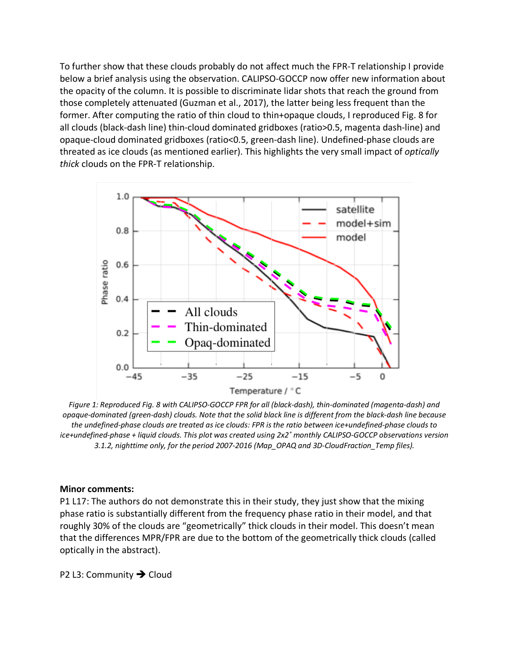To further show that these clouds probably do not affect much the FPR-T relationship I provide below a brief analysis using the observation. CALIPSO-GOCCP now offer new information about the opacity of the column. It is possible to discriminate lidar shots that reach the ground from those completely attenuated (Guzman et al., 2017), the latter being less frequent than the former. After computing the ratio of thin cloud to thin+opaque clouds, I reproduced Fig. 8 for all clouds (black-dash line) thin-cloud dominated gridboxes (ratio>0.5, magenta dash-line) and opaque-cloud dominated gridboxes (ratio<0.5, green-dash line). Undefined-phase clouds are threated as ice clouds (as mentioned earlier). This highlights the very small impact of *optically thick* clouds on the FPR-T relationship.



*Figure 1: Reproduced Fig. 8 with CALIPSO-GOCCP FPR for all (black-dash), thin-dominated (magenta-dash) and opaque-dominated (green-dash) clouds. Note that the solid black line is different from the black-dash line because the undefined-phase clouds are treated as ice clouds: FPR is the ratio between ice+undefined-phase clouds to ice+undefined-phase + liquid clouds. This plot was created using 2x2˚ monthly CALIPSO-GOCCP observations version 3.1.2, nighttime only, for the period 2007-2016 (Map\_OPAQ and 3D-CloudFraction\_Temp files).*

## **Minor comments:**

P1 L17: The authors do not demonstrate this in their study, they just show that the mixing phase ratio is substantially different from the frequency phase ratio in their model, and that roughly 30% of the clouds are "geometrically" thick clouds in their model. This doesn't mean that the differences MPR/FPR are due to the bottom of the geometrically thick clouds (called optically in the abstract).

P2 L3: Community  $\rightarrow$  Cloud